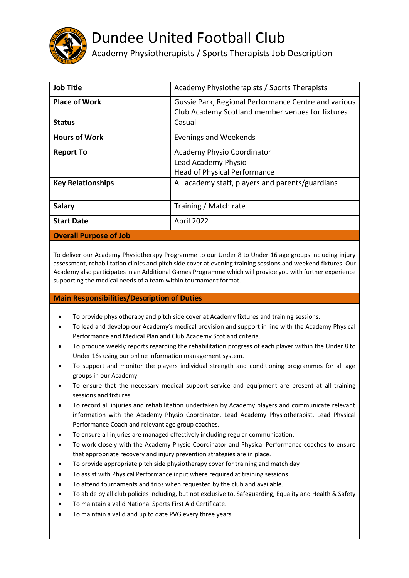

## Dundee United Football Club

Academy Physiotherapists / Sports Therapists Job Description

| <b>Job Title</b>              | Academy Physiotherapists / Sports Therapists         |
|-------------------------------|------------------------------------------------------|
| <b>Place of Work</b>          | Gussie Park, Regional Performance Centre and various |
|                               | Club Academy Scotland member venues for fixtures     |
| <b>Status</b>                 | Casual                                               |
| <b>Hours of Work</b>          | Evenings and Weekends                                |
| <b>Report To</b>              | <b>Academy Physio Coordinator</b>                    |
|                               | Lead Academy Physio                                  |
|                               | <b>Head of Physical Performance</b>                  |
| <b>Key Relationships</b>      | All academy staff, players and parents/guardians     |
|                               |                                                      |
| <b>Salary</b>                 | Training / Match rate                                |
| <b>Start Date</b>             | April 2022                                           |
| <b>Overall Purpose of Job</b> |                                                      |

To deliver our Academy Physiotherapy Programme to our Under 8 to Under 16 age groups including injury assessment, rehabilitation clinics and pitch side cover at evening training sessions and weekend fixtures. Our Academy also participates in an Additional Games Programme which will provide you with further experience supporting the medical needs of a team within tournament format.

## **Main Responsibilities/Description of Duties**

- To provide physiotherapy and pitch side cover at Academy fixtures and training sessions.
- To lead and develop our Academy's medical provision and support in line with the Academy Physical Performance and Medical Plan and Club Academy Scotland criteria.
- To produce weekly reports regarding the rehabilitation progress of each player within the Under 8 to Under 16s using our online information management system.
- To support and monitor the players individual strength and conditioning programmes for all age groups in our Academy.
- To ensure that the necessary medical support service and equipment are present at all training sessions and fixtures.
- To record all injuries and rehabilitation undertaken by Academy players and communicate relevant information with the Academy Physio Coordinator, Lead Academy Physiotherapist, Lead Physical Performance Coach and relevant age group coaches.
- To ensure all injuries are managed effectively including regular communication.
- To work closely with the Academy Physio Coordinator and Physical Performance coaches to ensure that appropriate recovery and injury prevention strategies are in place.
- To provide appropriate pitch side physiotherapy cover for training and match day
- To assist with Physical Performance input where required at training sessions.
- To attend tournaments and trips when requested by the club and available.
- To abide by all club policies including, but not exclusive to, Safeguarding, Equality and Health & Safety
- To maintain a valid National Sports First Aid Certificate.
- To maintain a valid and up to date PVG every three years.